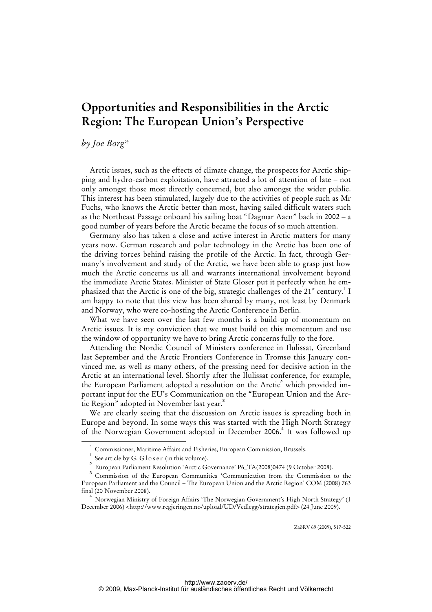## **Opportunities and Responsibilities in the Arctic Region: The European Union's Perspective**

*by Joe Borg\** 

Arctic issues, such as the effects of climate change, the prospects for Arctic shipping and hydro-carbon exploitation, have attracted a lot of attention of late – not only amongst those most directly concerned, but also amongst the wider public. This interest has been stimulated, largely due to the activities of people such as Mr Fuchs, who knows the Arctic better than most, having sailed difficult waters such as the Northeast Passage onboard his sailing boat "Dagmar Aaen" back in 2002 – a good number of years before the Arctic became the focus of so much attention.

Germany also has taken a close and active interest in Arctic matters for many years now. German research and polar technology in the Arctic has been one of the driving forces behind raising the profile of the Arctic. In fact, through Germany's involvement and study of the Arctic, we have been able to grasp just how much the Arctic concerns us all and warrants international involvement beyond the immediate Arctic States. Minister of State Gloser put it perfectly when he emphasized that the Arctic is one of the big, strategic challenges of the  $21<sup>st</sup>$  century.<sup>1</sup> I am happy to note that this view has been shared by many, not least by Denmark and Norway, who were co-hosting the Arctic Conference in Berlin.

What we have seen over the last few months is a build-up of momentum on Arctic issues. It is my conviction that we must build on this momentum and use the window of opportunity we have to bring Arctic concerns fully to the fore.

Attending the Nordic Council of Ministers conference in Ilulissat, Greenland last September and the Arctic Frontiers Conference in Tromsø this January convinced me, as well as many others, of the pressing need for decisive action in the Arctic at an international level. Shortly after the Ilulissat conference, for example, the European Parliament adopted a resolution on the Arctic $^2$  which provided important input for the EU's Communication on the "European Union and the Arctic Region" adopted in November last year.<sup>3</sup>

We are clearly seeing that the discussion on Arctic issues is spreading both in Europe and beyond. In some ways this was started with the High North Strategy of the Norwegian Government adopted in December 2006.<sup>4</sup> It was followed up

ZaöRV 69 (2009), 517-522

 <sup>\*</sup> Commissioner, Maritime Affairs and Fisheries, European Commission, Brussels.

<sup>1</sup> See article by G. G l o s e r (in this volume).

<sup>&</sup>lt;sup>2</sup> European Parliament Resolution 'Arctic Governance' P6\_TA(2008)0474 (9 October 2008).

<sup>&</sup>lt;sup>3</sup> Commission of the European Communities 'Communication from the Commission to the European Parliament and the Council – The European Union and the Arctic Region' COM (2008) 763 final (20 November 2008).

<sup>4</sup> Norwegian Ministry of Foreign Affairs 'The Norwegian Government's High North Strategy' (1 December 2006) [<http://www.regjeringen.no/upload/UD/Vedlegg/strategien.pdf>](http://www.regjeringen.no/upload/UD/Vedlegg/strategien.pdf) (24 June 2009).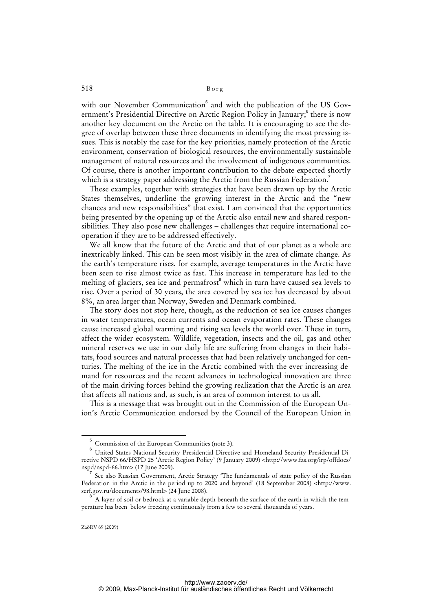with our November Communication<sup>5</sup> and with the publication of the US Government's Presidential Directive on Arctic Region Policy in January;<sup>6</sup> there is now another key document on the Arctic on the table. It is encouraging to see the degree of overlap between these three documents in identifying the most pressing issues. This is notably the case for the key priorities, namely protection of the Arctic environment, conservation of biological resources, the environmentally sustainable management of natural resources and the involvement of indigenous communities. Of course, there is another important contribution to the debate expected shortly which is a strategy paper addressing the Arctic from the Russian Federation.<sup>7</sup>

These examples, together with strategies that have been drawn up by the Arctic States themselves, underline the growing interest in the Arctic and the "new chances and new responsibilities" that exist. I am convinced that the opportunities being presented by the opening up of the Arctic also entail new and shared responsibilities. They also pose new challenges – challenges that require international cooperation if they are to be addressed effectively.

We all know that the future of the Arctic and that of our planet as a whole are inextricably linked. This can be seen most visibly in the area of climate change. As the earth's temperature rises, for example, average temperatures in the Arctic have been seen to rise almost twice as fast. This increase in temperature has led to the melting of glaciers, sea ice and permafrost<sup>8</sup> which in turn have caused sea levels to rise. Over a period of 30 years, the area covered by sea ice has decreased by about 8%, an area larger than Norway, Sweden and Denmark combined.

The story does not stop here, though, as the reduction of sea ice causes changes in water temperatures, ocean currents and ocean evaporation rates. These changes cause increased global warming and rising sea levels the world over. These in turn, affect the wider ecosystem. Wildlife, vegetation, insects and the oil, gas and other mineral reserves we use in our daily life are suffering from changes in their habitats, food sources and natural processes that had been relatively unchanged for centuries. The melting of the ice in the Arctic combined with the ever increasing demand for resources and the recent advances in technological innovation are three of the main driving forces behind the growing realization that the Arctic is an area that affects all nations and, as such, is an area of common interest to us all.

This is a message that was brought out in the Commission of the European Union's Arctic Communication endorsed by the Council of the European Union in

 $\overline{\phantom{0}}$ Commission of the European Communities (note 3).

<sup>6</sup> United States National Security Presidential Directive and Homeland Security Presidential Directive NSPD 66/HSPD 25 'Arctic Region Policy' (9 January 2009) <<http://www.fas.org/irp/offdocs/> nspd/nspd-66.htm> (17 June 2009).

<sup>7</sup> See also Russian Government, Arctic Strategy 'The fundamentals of state policy of the Russian Federation in the Arctic in the period up to 2020 and beyond' (18 September 2008) <[http://www.](http://www) scrf.gov.ru/documents/98.html> (24 June 2008).

<sup>8</sup> A layer of soil or bedrock at a variable depth beneath the surface of the earth in which the temperature has been below freezing continuously from a few to several thousands of years.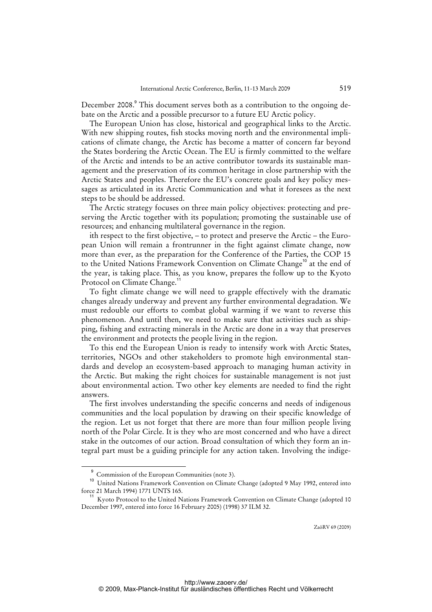December 2008.<sup>9</sup> This document serves both as a contribution to the ongoing debate on the Arctic and a possible precursor to a future EU Arctic policy.

The European Union has close, historical and geographical links to the Arctic. With new shipping routes, fish stocks moving north and the environmental implications of climate change, the Arctic has become a matter of concern far beyond the States bordering the Arctic Ocean. The EU is firmly committed to the welfare of the Arctic and intends to be an active contributor towards its sustainable management and the preservation of its common heritage in close partnership with the Arctic States and peoples. Therefore the EU's concrete goals and key policy messages as articulated in its Arctic Communication and what it foresees as the next steps to be should be addressed.

The Arctic strategy focuses on three main policy objectives: protecting and preserving the Arctic together with its population; promoting the sustainable use of resources; and enhancing multilateral governance in the region.

ith respect to the first objective, – to protect and preserve the Arctic – the European Union will remain a frontrunner in the fight against climate change, now more than ever, as the preparation for the Conference of the Parties, the COP 15 to the United Nations Framework Convention on Climate Change<sup>10</sup> at the end of the year, is taking place. This, as you know, prepares the follow up to the Kyoto Protocol on Climate Change.

To fight climate change we will need to grapple effectively with the dramatic changes already underway and prevent any further environmental degradation. We must redouble our efforts to combat global warming if we want to reverse this phenomenon. And until then, we need to make sure that activities such as shipping, fishing and extracting minerals in the Arctic are done in a way that preserves the environment and protects the people living in the region.

To this end the European Union is ready to intensify work with Arctic States, territories, NGOs and other stakeholders to promote high environmental standards and develop an ecosystem-based approach to managing human activity in the Arctic. But making the right choices for sustainable management is not just about environmental action. Two other key elements are needed to find the right answers.

The first involves understanding the specific concerns and needs of indigenous communities and the local population by drawing on their specific knowledge of the region. Let us not forget that there are more than four million people living north of the Polar Circle. It is they who are most concerned and who have a direct stake in the outcomes of our action. Broad consultation of which they form an integral part must be a guiding principle for any action taken. Involving the indige-

 $\overline{\phantom{0}}$ Commission of the European Communities (note 3).

<sup>&</sup>lt;sup>10</sup> United Nations Framework Convention on Climate Change (adopted 9 May 1992, entered into force 21 March 1994) 1771 UNTS 165.

<sup>&</sup>lt;sup>1</sup> Kyoto Protocol to the United Nations Framework Convention on Climate Change (adopted 10 December 1997, entered into force 16 February 2005) (1998) 37 ILM 32.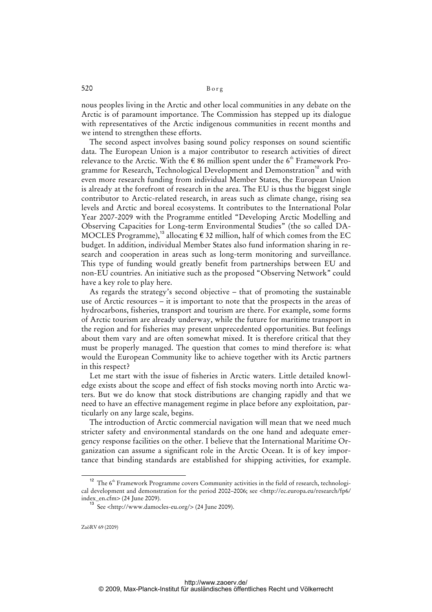520 Borg

nous peoples living in the Arctic and other local communities in any debate on the Arctic is of paramount importance. The Commission has stepped up its dialogue with representatives of the Arctic indigenous communities in recent months and we intend to strengthen these efforts.

The second aspect involves basing sound policy responses on sound scientific data. The European Union is a major contributor to research activities of direct relevance to the Arctic. With the  $\epsilon$  86 million spent under the 6<sup>th</sup> Framework Programme for Research, Technological Development and Demonstration<sup>12</sup> and with even more research funding from individual Member States, the European Union is already at the forefront of research in the area. The EU is thus the biggest single contributor to Arctic-related research, in areas such as climate change, rising sea levels and Arctic and boreal ecosystems. It contributes to the International Polar Year 2007-2009 with the Programme entitled "Developing Arctic Modelling and Observing Capacities for Long-term Environmental Studies" (the so called DA-MOCLES Programme),<sup>13</sup> allocating  $\epsilon$  32 million, half of which comes from the EC budget. In addition, individual Member States also fund information sharing in research and cooperation in areas such as long-term monitoring and surveillance. This type of funding would greatly benefit from partnerships between EU and non-EU countries. An initiative such as the proposed "Observing Network" could have a key role to play here.

As regards the strategy's second objective – that of promoting the sustainable use of Arctic resources – it is important to note that the prospects in the areas of hydrocarbons, fisheries, transport and tourism are there. For example, some forms of Arctic tourism are already underway, while the future for maritime transport in the region and for fisheries may present unprecedented opportunities. But feelings about them vary and are often somewhat mixed. It is therefore critical that they must be properly managed. The question that comes to mind therefore is: what would the European Community like to achieve together with its Arctic partners in this respect?

Let me start with the issue of fisheries in Arctic waters. Little detailed knowledge exists about the scope and effect of fish stocks moving north into Arctic waters. But we do know that stock distributions are changing rapidly and that we need to have an effective management regime in place before any exploitation, particularly on any large scale, begins.

The introduction of Arctic commercial navigation will mean that we need much stricter safety and environmental standards on the one hand and adequate emergency response facilities on the other. I believe that the International Maritime Organization can assume a significant role in the Arctic Ocean. It is of key importance that binding standards are established for shipping activities, for example.

 $12$  The 6<sup>th</sup> Framework Programme covers Community activities in the field of research, technological development and demonstration for the period 2002–2006; see <<http://ec.europa.eu/research/fp6/> index\_en.cfm> (24 June 2009).

 $13$  See <[http://www.damocles-eu.org/>](http://www.damocles-eu.org/) (24 June 2009).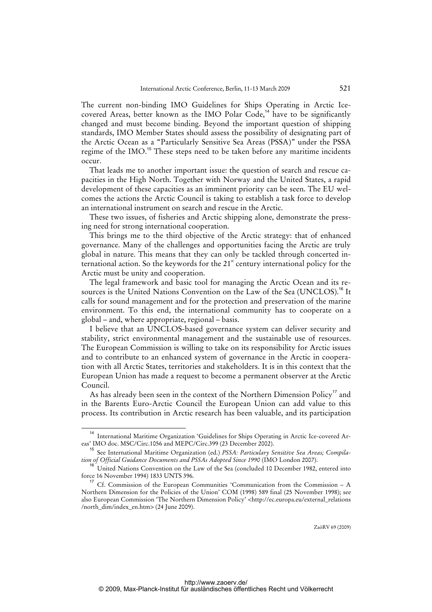The current non-binding IMO Guidelines for Ships Operating in Arctic Icecovered Areas, better known as the IMO Polar Code,<sup>14</sup> have to be significantly changed and must become binding. Beyond the important question of shipping standards, IMO Member States should assess the possibility of designating part of the Arctic Ocean as a "Particularly Sensitive Sea Areas (PSSA)" under the PSSA regime of the IMO.<sup>15</sup> These steps need to be taken before any maritime incidents occur.

That leads me to another important issue: the question of search and rescue capacities in the High North. Together with Norway and the United States, a rapid development of these capacities as an imminent priority can be seen. The EU welcomes the actions the Arctic Council is taking to establish a task force to develop an international instrument on search and rescue in the Arctic.

These two issues, of fisheries and Arctic shipping alone, demonstrate the pressing need for strong international cooperation.

This brings me to the third objective of the Arctic strategy: that of enhanced governance. Many of the challenges and opportunities facing the Arctic are truly global in nature. This means that they can only be tackled through concerted international action. So the keywords for the  $21<sup>st</sup>$  century international policy for the Arctic must be unity and cooperation.

The legal framework and basic tool for managing the Arctic Ocean and its resources is the United Nations Convention on the Law of the Sea (UNCLOS).<sup>16</sup> It calls for sound management and for the protection and preservation of the marine environment. To this end, the international community has to cooperate on a global – and, where appropriate, regional – basis.

I believe that an UNCLOS-based governance system can deliver security and stability, strict environmental management and the sustainable use of resources. The European Commission is willing to take on its responsibility for Arctic issues and to contribute to an enhanced system of governance in the Arctic in cooperation with all Arctic States, territories and stakeholders. It is in this context that the European Union has made a request to become a permanent observer at the Arctic Council.

As has already been seen in the context of the Northern Dimension Policy<sup>17</sup> and in the Barents Euro-Arctic Council the European Union can add value to this process. Its contribution in Arctic research has been valuable, and its participation

ZaöRV 69 (2009)

<sup>14</sup> International Maritime Organization 'Guidelines for Ships Operating in Arctic Ice-covered Areas' IMO doc. MSC/Circ.1056 and MEPC/Circ.399 (23 December 2002).

<sup>15</sup> See International Maritime Organization (ed.) *PSSA: Particulary Sensitive Sea Areas; Compilation of Official Guidance Documents and PSSAs Adopted Since 1990* (IMO London 2007).

<sup>&</sup>lt;sup>16</sup> United Nations Convention on the Law of the Sea (concluded 10 December 1982, entered into force 16 November 1994) 1833 UNTS 396.

<sup>&</sup>lt;sup>17</sup> Cf. Commission of the European Communities 'Communication from the Commission - A Northern Dimension for the Policies of the Union' COM (1998) 589 final (25 November 1998); see also European Commission 'The Northern Dimension Policy' <[http://ec.europa.eu/external\\_relations](http://ec.europa.eu/external_relations) /north\_dim/index\_en.htm> (24 June 2009).